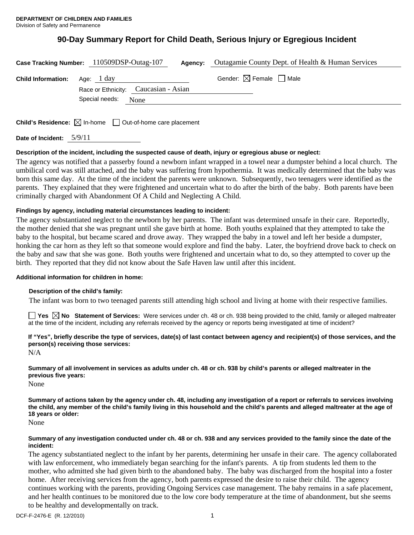# **90-Day Summary Report for Child Death, Serious Injury or Egregious Incident**

|                                      | Case Tracking Number: 110509DSP-Outag-107 | <b>Agency:</b> Outagamie County Dept. of Health & Human Services |
|--------------------------------------|-------------------------------------------|------------------------------------------------------------------|
| <b>Child Information:</b> Age: 1 day | Race or Ethnicity: Caucasian - Asian      | Gender: $\boxtimes$ Female $\Box$ Male                           |
|                                      | Special needs: None                       |                                                                  |
|                                      |                                           |                                                                  |

**Child's Residence:**  $\boxtimes$  In-home  $\Box$  Out-of-home care placement

**Date of Incident:** 5/9/11

# **Description of the incident, including the suspected cause of death, injury or egregious abuse or neglect:**

The agency was notified that a passerby found a newborn infant wrapped in a towel near a dumpster behind a local church. The umbilical cord was still attached, and the baby was suffering from hypothermia. It was medically determined that the baby was born this same day. At the time of the incident the parents were unknown. Subsequently, two teenagers were identified as the parents. They explained that they were frightened and uncertain what to do after the birth of the baby. Both parents have been criminally charged with Abandonment Of A Child and Neglecting A Child.

# **Findings by agency, including material circumstances leading to incident:**

The agency substantiated neglect to the newborn by her parents. The infant was determined unsafe in their care. Reportedly, the mother denied that she was pregnant until she gave birth at home. Both youths explained that they attempted to take the baby to the hospital, but became scared and drove away. They wrapped the baby in a towel and left her beside a dumpster, honking the car horn as they left so that someone would explore and find the baby. Later, the boyfriend drove back to check on the baby and saw that she was gone. Both youths were frightened and uncertain what to do, so they attempted to cover up the birth. They reported that they did not know about the Safe Haven law until after this incident.

# **Additional information for children in home:**

# **Description of the child's family:**

The infant was born to two teenaged parents still attending high school and living at home with their respective families.

**Yes**  $\boxtimes$  **No** Statement of Services: Were services under ch. 48 or ch. 938 being provided to the child, family or alleged maltreater at the time of the incident, including any referrals received by the agency or reports being investigated at time of incident?

**If "Yes", briefly describe the type of services, date(s) of last contact between agency and recipient(s) of those services, and the person(s) receiving those services:** 

N/A

**Summary of all involvement in services as adults under ch. 48 or ch. 938 by child's parents or alleged maltreater in the previous five years:** 

None

**Summary of actions taken by the agency under ch. 48, including any investigation of a report or referrals to services involving the child, any member of the child's family living in this household and the child's parents and alleged maltreater at the age of 18 years or older:** 

None

## **Summary of any investigation conducted under ch. 48 or ch. 938 and any services provided to the family since the date of the incident:**

The agency substantiated neglect to the infant by her parents, determining her unsafe in their care. The agency collaborated with law enforcement, who immediately began searching for the infant's parents. A tip from students led them to the mother, who admitted she had given birth to the abandoned baby. The baby was discharged from the hospital into a foster home. After receiving services from the agency, both parents expressed the desire to raise their child. The agency continues working with the parents, providing Ongoing Services case management. The baby remains in a safe placement, and her health continues to be monitored due to the low core body temperature at the time of abandonment, but she seems to be healthy and developmentally on track.